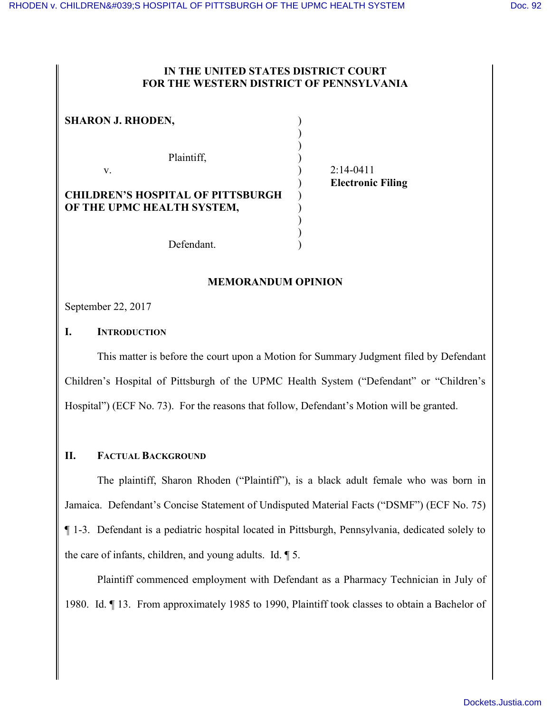#### **IN THE UNITED STATES DISTRICT COURT FOR THE WESTERN DISTRICT OF PENNSYLVANIA**

) )

| <b>SHARON J. RHODEN,</b>                                               |  |
|------------------------------------------------------------------------|--|
| Plaintiff,                                                             |  |
| V                                                                      |  |
| <b>CHILDREN'S HOSPITAL OF PITTSBURGH</b><br>OF THE UPMC HEALTH SYSTEM, |  |

 $)$  2:14-0411 ) **Electronic Filing**

Defendant.

## **MEMORANDUM OPINION**

September 22, 2017

## **I. INTRODUCTION**

This matter is before the court upon a Motion for Summary Judgment filed by Defendant Children's Hospital of Pittsburgh of the UPMC Health System ("Defendant" or "Children's Hospital") (ECF No. 73). For the reasons that follow, Defendant's Motion will be granted.

## **II. FACTUAL BACKGROUND**

The plaintiff, Sharon Rhoden ("Plaintiff"), is a black adult female who was born in Jamaica. Defendant's Concise Statement of Undisputed Material Facts ("DSMF") (ECF No. 75) ¶ 1-3. Defendant is a pediatric hospital located in Pittsburgh, Pennsylvania, dedicated solely to the care of infants, children, and young adults. Id. ¶ 5.

Plaintiff commenced employment with Defendant as a Pharmacy Technician in July of 1980. Id. ¶ 13. From approximately 1985 to 1990, Plaintiff took classes to obtain a Bachelor of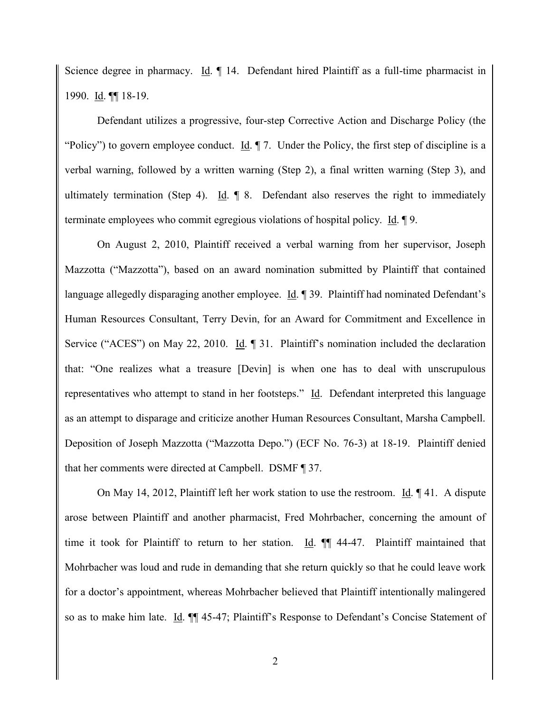Science degree in pharmacy. Id.  $\P$  14. Defendant hired Plaintiff as a full-time pharmacist in 1990. Id. ¶¶ 18-19.

Defendant utilizes a progressive, four-step Corrective Action and Discharge Policy (the "Policy") to govern employee conduct. Id.  $\P$  7. Under the Policy, the first step of discipline is a verbal warning, followed by a written warning (Step 2), a final written warning (Step 3), and ultimately termination (Step 4). Id. ¶ 8. Defendant also reserves the right to immediately terminate employees who commit egregious violations of hospital policy. Id. ¶ 9.

On August 2, 2010, Plaintiff received a verbal warning from her supervisor, Joseph Mazzotta ("Mazzotta"), based on an award nomination submitted by Plaintiff that contained language allegedly disparaging another employee. Id. ¶ 39. Plaintiff had nominated Defendant's Human Resources Consultant, Terry Devin, for an Award for Commitment and Excellence in Service ("ACES") on May 22, 2010. Id. ¶ 31. Plaintiff's nomination included the declaration that: "One realizes what a treasure [Devin] is when one has to deal with unscrupulous representatives who attempt to stand in her footsteps." Id. Defendant interpreted this language as an attempt to disparage and criticize another Human Resources Consultant, Marsha Campbell. Deposition of Joseph Mazzotta ("Mazzotta Depo.") (ECF No. 76-3) at 18-19. Plaintiff denied that her comments were directed at Campbell. DSMF ¶ 37.

On May 14, 2012, Plaintiff left her work station to use the restroom. Id. ¶ 41. A dispute arose between Plaintiff and another pharmacist, Fred Mohrbacher, concerning the amount of time it took for Plaintiff to return to her station. Id.  $\P$  44-47. Plaintiff maintained that Mohrbacher was loud and rude in demanding that she return quickly so that he could leave work for a doctor's appointment, whereas Mohrbacher believed that Plaintiff intentionally malingered so as to make him late. Id. ¶¶ 45-47; Plaintiff's Response to Defendant's Concise Statement of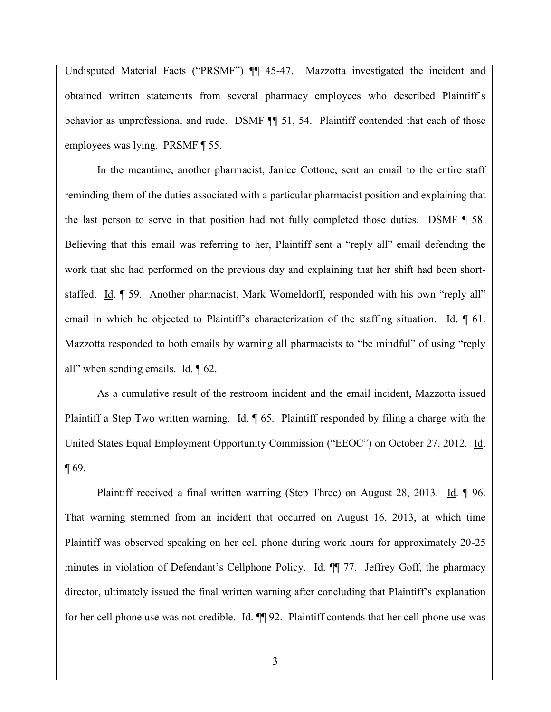Undisputed Material Facts ("PRSMF")  $\P$  45-47. Mazzotta investigated the incident and obtained written statements from several pharmacy employees who described Plaintiff's behavior as unprofessional and rude. DSMF  $\P$  51, 54. Plaintiff contended that each of those employees was lying. PRSMF ¶ 55.

In the meantime, another pharmacist, Janice Cottone, sent an email to the entire staff reminding them of the duties associated with a particular pharmacist position and explaining that the last person to serve in that position had not fully completed those duties. DSMF ¶ 58. Believing that this email was referring to her, Plaintiff sent a "reply all" email defending the work that she had performed on the previous day and explaining that her shift had been shortstaffed. Id. ¶ 59. Another pharmacist, Mark Womeldorff, responded with his own "reply all" email in which he objected to Plaintiff's characterization of the staffing situation. Id. ¶ 61. Mazzotta responded to both emails by warning all pharmacists to "be mindful" of using "reply all" when sending emails. Id. ¶ 62.

As a cumulative result of the restroom incident and the email incident, Mazzotta issued Plaintiff a Step Two written warning. Id.  $\parallel$  65. Plaintiff responded by filing a charge with the United States Equal Employment Opportunity Commission ("EEOC") on October 27, 2012. Id. ¶ 69.

Plaintiff received a final written warning (Step Three) on August 28, 2013. Id. ¶ 96. That warning stemmed from an incident that occurred on August 16, 2013, at which time Plaintiff was observed speaking on her cell phone during work hours for approximately 20-25 minutes in violation of Defendant's Cellphone Policy. Id. ¶¶ 77. Jeffrey Goff, the pharmacy director, ultimately issued the final written warning after concluding that Plaintiff's explanation for her cell phone use was not credible. Id. ¶¶ 92. Plaintiff contends that her cell phone use was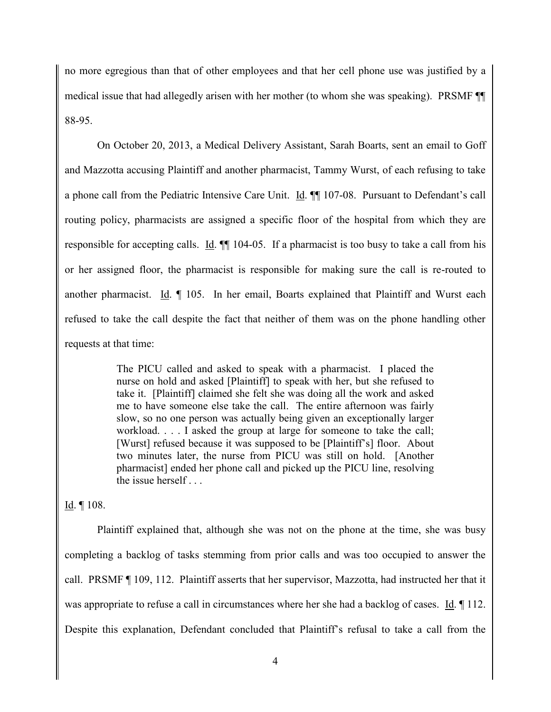no more egregious than that of other employees and that her cell phone use was justified by a medical issue that had allegedly arisen with her mother (to whom she was speaking). PRSMF ¶¶ 88-95.

On October 20, 2013, a Medical Delivery Assistant, Sarah Boarts, sent an email to Goff and Mazzotta accusing Plaintiff and another pharmacist, Tammy Wurst, of each refusing to take a phone call from the Pediatric Intensive Care Unit. Id. ¶¶ 107-08. Pursuant to Defendant's call routing policy, pharmacists are assigned a specific floor of the hospital from which they are responsible for accepting calls. Id.  $\P$  104-05. If a pharmacist is too busy to take a call from his or her assigned floor, the pharmacist is responsible for making sure the call is re-routed to another pharmacist. Id. ¶ 105. In her email, Boarts explained that Plaintiff and Wurst each refused to take the call despite the fact that neither of them was on the phone handling other requests at that time:

> The PICU called and asked to speak with a pharmacist. I placed the nurse on hold and asked [Plaintiff] to speak with her, but she refused to take it. [Plaintiff] claimed she felt she was doing all the work and asked me to have someone else take the call. The entire afternoon was fairly slow, so no one person was actually being given an exceptionally larger workload. . . . I asked the group at large for someone to take the call; [Wurst] refused because it was supposed to be [Plaintiff's] floor. About two minutes later, the nurse from PICU was still on hold. [Another pharmacist] ended her phone call and picked up the PICU line, resolving the issue herself . . .

# Id. ¶ 108.

Plaintiff explained that, although she was not on the phone at the time, she was busy completing a backlog of tasks stemming from prior calls and was too occupied to answer the call. PRSMF ¶ 109, 112. Plaintiff asserts that her supervisor, Mazzotta, had instructed her that it was appropriate to refuse a call in circumstances where her she had a backlog of cases. Id. 112. Despite this explanation, Defendant concluded that Plaintiff's refusal to take a call from the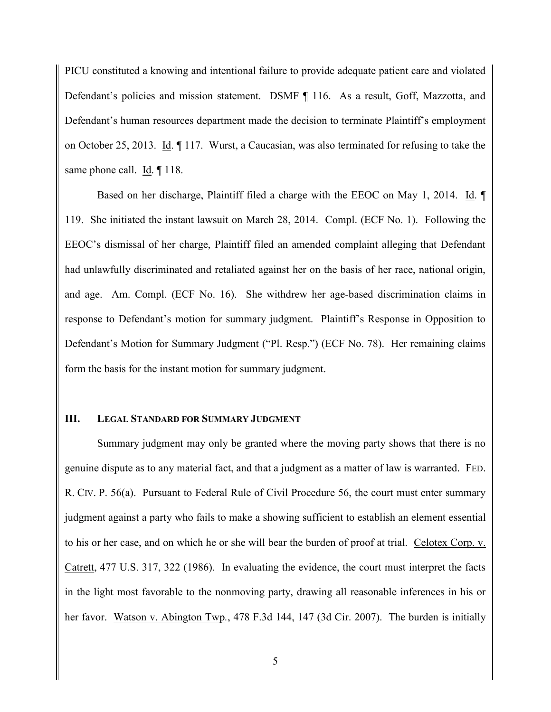PICU constituted a knowing and intentional failure to provide adequate patient care and violated Defendant's policies and mission statement. DSMF ¶ 116. As a result, Goff, Mazzotta, and Defendant's human resources department made the decision to terminate Plaintiff's employment on October 25, 2013. Id. ¶ 117. Wurst, a Caucasian, was also terminated for refusing to take the same phone call. Id.  $\P$  118.

Based on her discharge, Plaintiff filed a charge with the EEOC on May 1, 2014. Id. ¶ 119. She initiated the instant lawsuit on March 28, 2014. Compl. (ECF No. 1). Following the EEOC's dismissal of her charge, Plaintiff filed an amended complaint alleging that Defendant had unlawfully discriminated and retaliated against her on the basis of her race, national origin, and age. Am. Compl. (ECF No. 16). She withdrew her age-based discrimination claims in response to Defendant's motion for summary judgment. Plaintiff's Response in Opposition to Defendant's Motion for Summary Judgment ("Pl. Resp.") (ECF No. 78). Her remaining claims form the basis for the instant motion for summary judgment.

#### **III. LEGAL STANDARD FOR SUMMARY JUDGMENT**

Summary judgment may only be granted where the moving party shows that there is no genuine dispute as to any material fact, and that a judgment as a matter of law is warranted. FED. R. CIV. P. 56(a). Pursuant to Federal Rule of Civil Procedure 56, the court must enter summary judgment against a party who fails to make a showing sufficient to establish an element essential to his or her case, and on which he or she will bear the burden of proof at trial. Celotex Corp. v. Catrett, 477 U.S. 317, 322 (1986). In evaluating the evidence, the court must interpret the facts in the light most favorable to the nonmoving party, drawing all reasonable inferences in his or her favor. Watson v. Abington Twp*.*, 478 F.3d 144, 147 (3d Cir. 2007). The burden is initially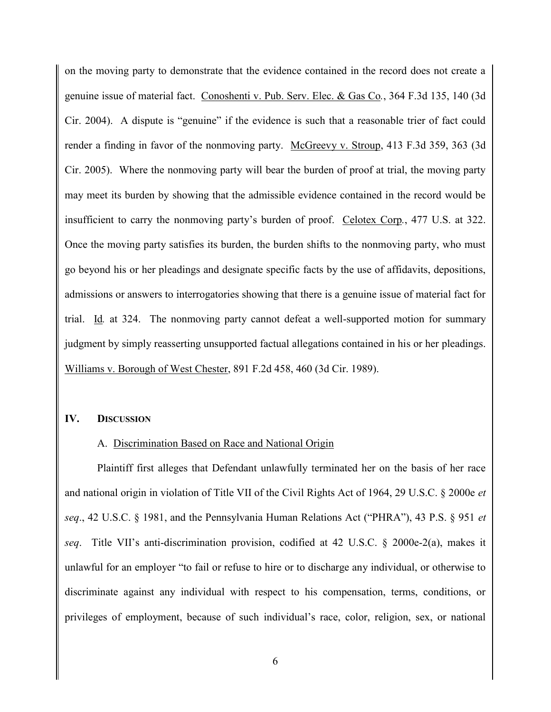on the moving party to demonstrate that the evidence contained in the record does not create a genuine issue of material fact. Conoshenti v. Pub. Serv. Elec. & Gas Co*.*, 364 F.3d 135, 140 (3d Cir. 2004). A dispute is "genuine" if the evidence is such that a reasonable trier of fact could render a finding in favor of the nonmoving party. McGreevy v. Stroup, 413 F.3d 359, 363 (3d Cir. 2005). Where the nonmoving party will bear the burden of proof at trial, the moving party may meet its burden by showing that the admissible evidence contained in the record would be insufficient to carry the nonmoving party's burden of proof. Celotex Corp*.*, 477 U.S. at 322. Once the moving party satisfies its burden, the burden shifts to the nonmoving party, who must go beyond his or her pleadings and designate specific facts by the use of affidavits, depositions, admissions or answers to interrogatories showing that there is a genuine issue of material fact for trial. Id*.* at 324. The nonmoving party cannot defeat a well-supported motion for summary judgment by simply reasserting unsupported factual allegations contained in his or her pleadings. Williams v. Borough of West Chester, 891 F.2d 458, 460 (3d Cir. 1989).

#### **IV. DISCUSSION**

#### A. Discrimination Based on Race and National Origin

Plaintiff first alleges that Defendant unlawfully terminated her on the basis of her race and national origin in violation of Title VII of the Civil Rights Act of 1964, 29 U.S.C. § 2000e *et seq*., 42 U.S.C. § 1981, and the Pennsylvania Human Relations Act ("PHRA"), 43 P.S. § 951 *et seq*. Title VII's anti-discrimination provision, codified at 42 U.S.C. § 2000e-2(a), makes it unlawful for an employer "to fail or refuse to hire or to discharge any individual, or otherwise to discriminate against any individual with respect to his compensation, terms, conditions, or privileges of employment, because of such individual's race, color, religion, sex, or national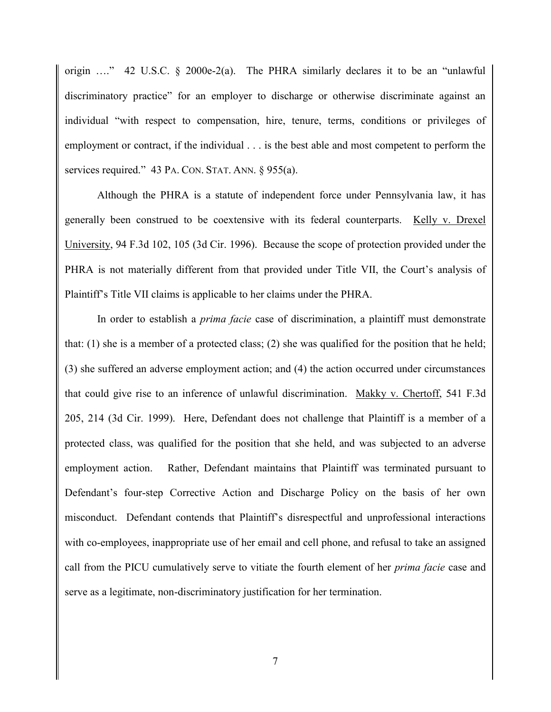origin …." 42 U.S.C. § 2000e-2(a). The PHRA similarly declares it to be an "unlawful discriminatory practice" for an employer to discharge or otherwise discriminate against an individual "with respect to compensation, hire, tenure, terms, conditions or privileges of employment or contract, if the individual . . . is the best able and most competent to perform the services required." 43 PA. CON. STAT. ANN. § 955(a).

Although the PHRA is a statute of independent force under Pennsylvania law, it has generally been construed to be coextensive with its federal counterparts. Kelly v. Drexel University, 94 F.3d 102, 105 (3d Cir. 1996). Because the scope of protection provided under the PHRA is not materially different from that provided under Title VII, the Court's analysis of Plaintiff's Title VII claims is applicable to her claims under the PHRA.

In order to establish a *prima facie* case of discrimination, a plaintiff must demonstrate that:  $(1)$  she is a member of a protected class;  $(2)$  she was qualified for the position that he held; (3) she suffered an adverse employment action; and (4) the action occurred under circumstances that could give rise to an inference of unlawful discrimination. Makky v. Chertoff, 541 F.3d 205, 214 (3d Cir. 1999). Here, Defendant does not challenge that Plaintiff is a member of a protected class, was qualified for the position that she held, and was subjected to an adverse employment action. Rather, Defendant maintains that Plaintiff was terminated pursuant to Defendant's four-step Corrective Action and Discharge Policy on the basis of her own misconduct. Defendant contends that Plaintiff's disrespectful and unprofessional interactions with co-employees, inappropriate use of her email and cell phone, and refusal to take an assigned call from the PICU cumulatively serve to vitiate the fourth element of her *prima facie* case and serve as a legitimate, non-discriminatory justification for her termination.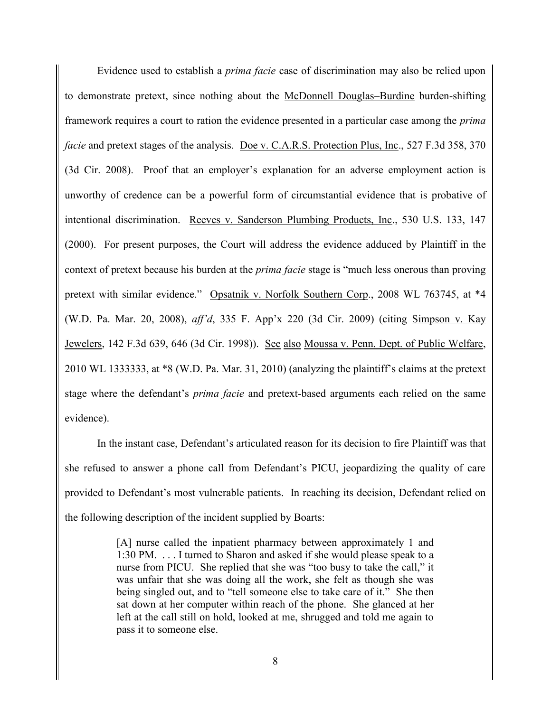Evidence used to establish a *prima facie* case of discrimination may also be relied upon to demonstrate pretext, since nothing about the McDonnell Douglas–Burdine burden-shifting framework requires a court to ration the evidence presented in a particular case among the *prima facie* and pretext stages of the analysis. Doe v. C.A.R.S. Protection Plus, Inc., 527 F.3d 358, 370 (3d Cir. 2008). Proof that an employer's explanation for an adverse employment action is unworthy of credence can be a powerful form of circumstantial evidence that is probative of intentional discrimination. Reeves v. Sanderson Plumbing Products, Inc., 530 U.S. 133, 147 (2000). For present purposes, the Court will address the evidence adduced by Plaintiff in the context of pretext because his burden at the *prima facie* stage is "much less onerous than proving pretext with similar evidence." Opsatnik v. Norfolk Southern Corp., 2008 WL 763745, at \*4 (W.D. Pa. Mar. 20, 2008), *aff'd*, 335 F. App'x 220 (3d Cir. 2009) (citing Simpson v. Kay Jewelers, 142 F.3d 639, 646 (3d Cir. 1998)). See also Moussa v. Penn. Dept. of Public Welfare, 2010 WL 1333333, at \*8 (W.D. Pa. Mar. 31, 2010) (analyzing the plaintiff's claims at the pretext stage where the defendant's *prima facie* and pretext-based arguments each relied on the same evidence).

In the instant case, Defendant's articulated reason for its decision to fire Plaintiff was that she refused to answer a phone call from Defendant's PICU, jeopardizing the quality of care provided to Defendant's most vulnerable patients. In reaching its decision, Defendant relied on the following description of the incident supplied by Boarts:

> [A] nurse called the inpatient pharmacy between approximately 1 and 1:30 PM. . . . I turned to Sharon and asked if she would please speak to a nurse from PICU. She replied that she was "too busy to take the call," it was unfair that she was doing all the work, she felt as though she was being singled out, and to "tell someone else to take care of it." She then sat down at her computer within reach of the phone. She glanced at her left at the call still on hold, looked at me, shrugged and told me again to pass it to someone else.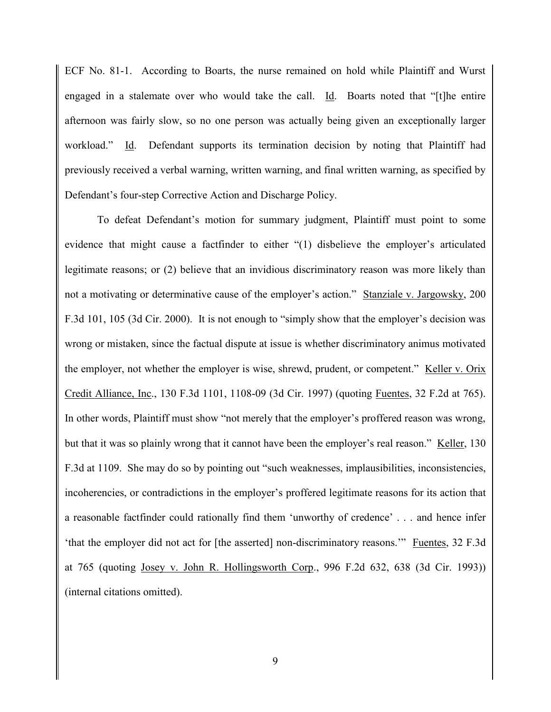ECF No. 81-1. According to Boarts, the nurse remained on hold while Plaintiff and Wurst engaged in a stalemate over who would take the call. Id. Boarts noted that "[t]he entire afternoon was fairly slow, so no one person was actually being given an exceptionally larger workload." Id. Defendant supports its termination decision by noting that Plaintiff had previously received a verbal warning, written warning, and final written warning, as specified by Defendant's four-step Corrective Action and Discharge Policy.

To defeat Defendant's motion for summary judgment, Plaintiff must point to some evidence that might cause a factfinder to either "(1) disbelieve the employer's articulated legitimate reasons; or (2) believe that an invidious discriminatory reason was more likely than not a motivating or determinative cause of the employer's action." Stanziale v. Jargowsky, 200 F.3d 101, 105 (3d Cir. 2000). It is not enough to "simply show that the employer's decision was wrong or mistaken, since the factual dispute at issue is whether discriminatory animus motivated the employer, not whether the employer is wise, shrewd, prudent, or competent." Keller v. Orix Credit Alliance, Inc., 130 F.3d 1101, 1108-09 (3d Cir. 1997) (quoting Fuentes, 32 F.2d at 765). In other words, Plaintiff must show "not merely that the employer's proffered reason was wrong, but that it was so plainly wrong that it cannot have been the employer's real reason." Keller, 130 F.3d at 1109. She may do so by pointing out "such weaknesses, implausibilities, inconsistencies, incoherencies, or contradictions in the employer's proffered legitimate reasons for its action that a reasonable factfinder could rationally find them 'unworthy of credence' . . . and hence infer 'that the employer did not act for [the asserted] non-discriminatory reasons.'" Fuentes, 32 F.3d at 765 (quoting Josey v. John R. Hollingsworth Corp., 996 F.2d 632, 638 (3d Cir. 1993)) (internal citations omitted).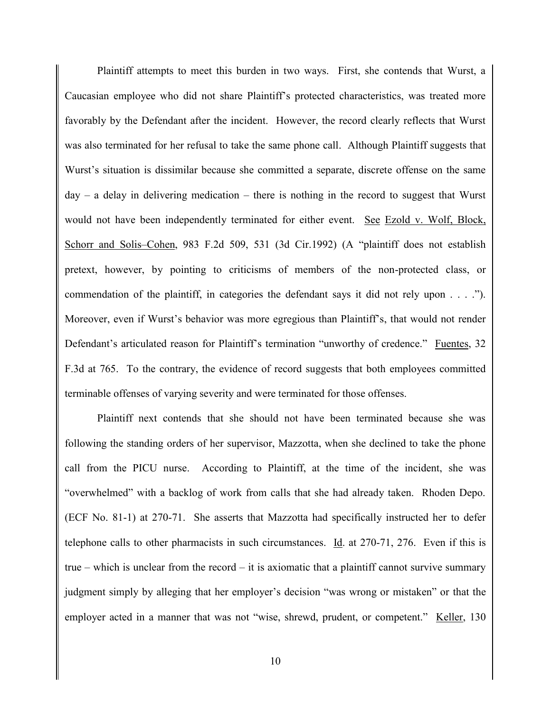Plaintiff attempts to meet this burden in two ways. First, she contends that Wurst, a Caucasian employee who did not share Plaintiff's protected characteristics, was treated more favorably by the Defendant after the incident. However, the record clearly reflects that Wurst was also terminated for her refusal to take the same phone call. Although Plaintiff suggests that Wurst's situation is dissimilar because she committed a separate, discrete offense on the same  $day - a$  delay in delivering medication – there is nothing in the record to suggest that Wurst would not have been independently terminated for either event. See Ezold v. Wolf, Block, Schorr and Solis–Cohen, 983 F.2d 509, 531 (3d Cir.1992) (A "plaintiff does not establish pretext, however, by pointing to criticisms of members of the non-protected class, or commendation of the plaintiff, in categories the defendant says it did not rely upon . . . ."). Moreover, even if Wurst's behavior was more egregious than Plaintiff's, that would not render Defendant's articulated reason for Plaintiff's termination "unworthy of credence." Fuentes, 32 F.3d at 765. To the contrary, the evidence of record suggests that both employees committed terminable offenses of varying severity and were terminated for those offenses.

Plaintiff next contends that she should not have been terminated because she was following the standing orders of her supervisor, Mazzotta, when she declined to take the phone call from the PICU nurse. According to Plaintiff, at the time of the incident, she was "overwhelmed" with a backlog of work from calls that she had already taken. Rhoden Depo. (ECF No. 81-1) at 270-71. She asserts that Mazzotta had specifically instructed her to defer telephone calls to other pharmacists in such circumstances. Id. at 270-71, 276. Even if this is true – which is unclear from the record – it is axiomatic that a plaintiff cannot survive summary judgment simply by alleging that her employer's decision "was wrong or mistaken" or that the employer acted in a manner that was not "wise, shrewd, prudent, or competent." Keller, 130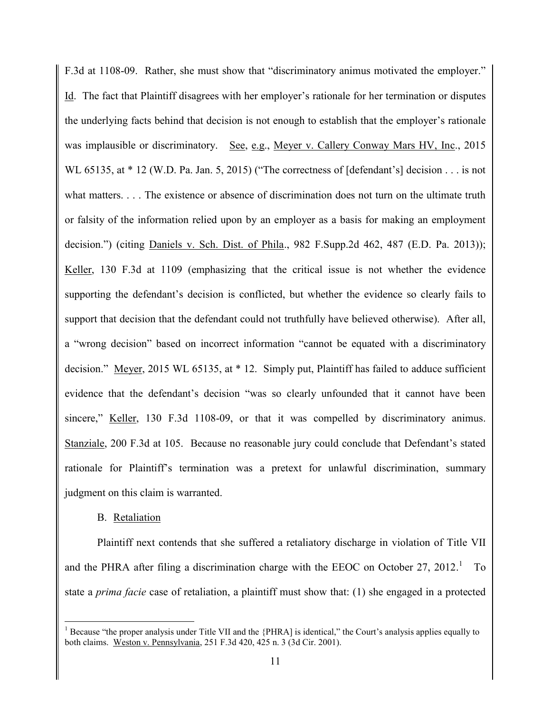F.3d at 1108-09. Rather, she must show that "discriminatory animus motivated the employer." Id. The fact that Plaintiff disagrees with her employer's rationale for her termination or disputes the underlying facts behind that decision is not enough to establish that the employer's rationale was implausible or discriminatory. See, e.g., Meyer v. Callery Conway Mars HV, Inc., 2015 WL 65135, at  $*$  12 (W.D. Pa. Jan. 5, 2015) ("The correctness of [defendant's] decision . . . is not what matters. . . . The existence or absence of discrimination does not turn on the ultimate truth or falsity of the information relied upon by an employer as a basis for making an employment decision.") (citing Daniels v. Sch. Dist. of Phila., 982 F.Supp.2d 462, 487 (E.D. Pa. 2013)); Keller, 130 F.3d at 1109 (emphasizing that the critical issue is not whether the evidence supporting the defendant's decision is conflicted, but whether the evidence so clearly fails to support that decision that the defendant could not truthfully have believed otherwise). After all, a "wrong decision" based on incorrect information "cannot be equated with a discriminatory decision." Meyer, 2015 WL 65135, at  $*$  12. Simply put, Plaintiff has failed to adduce sufficient evidence that the defendant's decision "was so clearly unfounded that it cannot have been sincere," Keller, 130 F.3d 1108-09, or that it was compelled by discriminatory animus. Stanziale, 200 F.3d at 105. Because no reasonable jury could conclude that Defendant's stated rationale for Plaintiff's termination was a pretext for unlawful discrimination, summary judgment on this claim is warranted.

## B. Retaliation

 $\overline{a}$ 

Plaintiff next contends that she suffered a retaliatory discharge in violation of Title VII and the PHRA after filing a discrimination charge with the EEOC on October 27, 2012.<sup>1</sup> To state a *prima facie* case of retaliation, a plaintiff must show that: (1) she engaged in a protected

 $<sup>1</sup>$  Because "the proper analysis under Title VII and the {PHRA] is identical," the Court's analysis applies equally to</sup> both claims. Weston v. Pennsylvania, 251 F.3d 420, 425 n. 3 (3d Cir. 2001).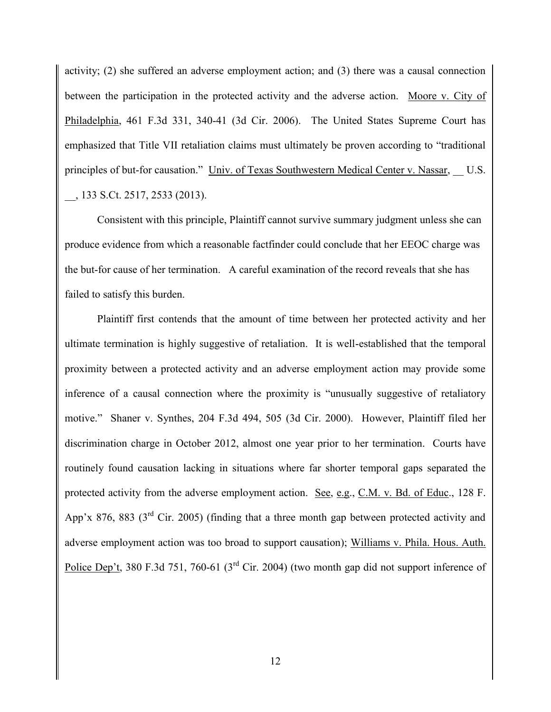activity; (2) she suffered an adverse employment action; and (3) there was a causal connection between the participation in the protected activity and the adverse action. Moore v. City of Philadelphia, 461 F.3d 331, 340-41 (3d Cir. 2006). The United States Supreme Court has emphasized that Title VII retaliation claims must ultimately be proven according to "traditional principles of but-for causation." Univ. of Texas Southwestern Medical Center v. Nassar, U.S. \_\_, 133 S.Ct. 2517, 2533 (2013).

Consistent with this principle, Plaintiff cannot survive summary judgment unless she can produce evidence from which a reasonable factfinder could conclude that her EEOC charge was the but-for cause of her termination. A careful examination of the record reveals that she has failed to satisfy this burden.

Plaintiff first contends that the amount of time between her protected activity and her ultimate termination is highly suggestive of retaliation. It is well-established that the temporal proximity between a protected activity and an adverse employment action may provide some inference of a causal connection where the proximity is "unusually suggestive of retaliatory motive." Shaner v. Synthes, 204 F.3d 494, 505 (3d Cir. 2000). However, Plaintiff filed her discrimination charge in October 2012, almost one year prior to her termination. Courts have routinely found causation lacking in situations where far shorter temporal gaps separated the protected activity from the adverse employment action. See, e.g., C.M. v. Bd. of Educ., 128 F. App'x 876, 883 (3<sup>rd</sup> Cir. 2005) (finding that a three month gap between protected activity and adverse employment action was too broad to support causation); Williams v. Phila. Hous. Auth. Police Dep't, 380 F.3d 751, 760-61 (3<sup>rd</sup> Cir. 2004) (two month gap did not support inference of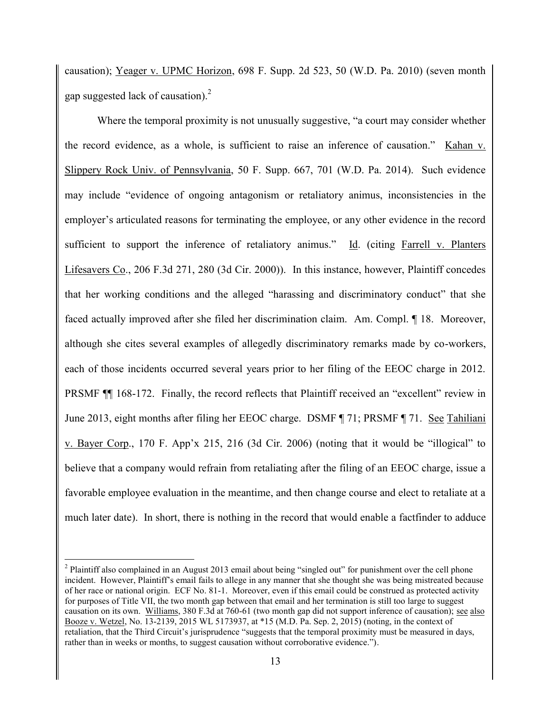causation); Yeager v. UPMC Horizon, 698 F. Supp. 2d 523, 50 (W.D. Pa. 2010) (seven month gap suggested lack of causation).<sup>2</sup>

Where the temporal proximity is not unusually suggestive, "a court may consider whether the record evidence, as a whole, is sufficient to raise an inference of causation." Kahan v. Slippery Rock Univ. of Pennsylvania, 50 F. Supp. 667, 701 (W.D. Pa. 2014). Such evidence may include "evidence of ongoing antagonism or retaliatory animus, inconsistencies in the employer's articulated reasons for terminating the employee, or any other evidence in the record sufficient to support the inference of retaliatory animus." Id. (citing Farrell v. Planters Lifesavers Co., 206 F.3d 271, 280 (3d Cir. 2000)). In this instance, however, Plaintiff concedes that her working conditions and the alleged "harassing and discriminatory conduct" that she faced actually improved after she filed her discrimination claim. Am. Compl. ¶ 18. Moreover, although she cites several examples of allegedly discriminatory remarks made by co-workers, each of those incidents occurred several years prior to her filing of the EEOC charge in 2012. PRSMF ¶¶ 168-172. Finally, the record reflects that Plaintiff received an "excellent" review in June 2013, eight months after filing her EEOC charge. DSMF ¶ 71; PRSMF ¶ 71. See Tahiliani v. Bayer Corp., 170 F. App'x 215, 216 (3d Cir. 2006) (noting that it would be "illogical" to believe that a company would refrain from retaliating after the filing of an EEOC charge, issue a favorable employee evaluation in the meantime, and then change course and elect to retaliate at a much later date). In short, there is nothing in the record that would enable a factfinder to adduce

 $\overline{a}$ 

 $2$  Plaintiff also complained in an August 2013 email about being "singled out" for punishment over the cell phone incident. However, Plaintiff's email fails to allege in any manner that she thought she was being mistreated because of her race or national origin. ECF No. 81-1. Moreover, even if this email could be construed as protected activity for purposes of Title VII, the two month gap between that email and her termination is still too large to suggest causation on its own. Williams, 380 F.3d at 760-61 (two month gap did not support inference of causation); see also Booze v. Wetzel, No. 13-2139, 2015 WL 5173937, at \*15 (M.D. Pa. Sep. 2, 2015) (noting, in the context of retaliation, that the Third Circuit's jurisprudence "suggests that the temporal proximity must be measured in days, rather than in weeks or months, to suggest causation without corroborative evidence.").